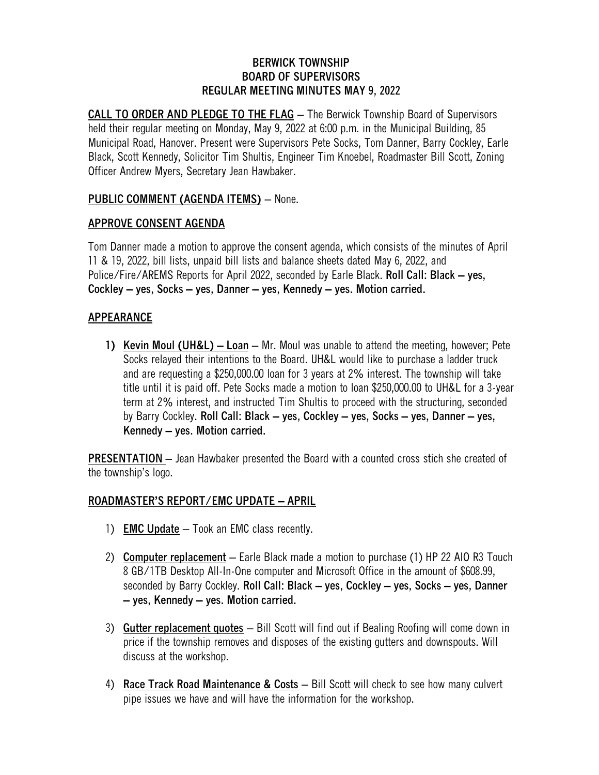#### **BERWICK TOWNSHIP BOARD OF SUPERVISORS REGULAR MEETING MINUTES MAY 9, 2022**

**CALL TO ORDER AND PLEDGE TO THE FLAG** – The Berwick Township Board of Supervisors held their regular meeting on Monday, May 9, 2022 at 6:00 p.m. in the Municipal Building, 85 Municipal Road, Hanover. Present were Supervisors Pete Socks, Tom Danner, Barry Cockley, Earle Black, Scott Kennedy, Solicitor Tim Shultis, Engineer Tim Knoebel, Roadmaster Bill Scott, Zoning Officer Andrew Myers, Secretary Jean Hawbaker.

# **PUBLIC COMMENT (AGENDA ITEMS)** – None.

### **APPROVE CONSENT AGENDA**

Tom Danner made a motion to approve the consent agenda, which consists of the minutes of April 11 & 19, 2022, bill lists, unpaid bill lists and balance sheets dated May 6, 2022, and Police/Fire/AREMS Reports for April 2022, seconded by Earle Black. **Roll Call: Black – yes, Cockley – yes, Socks – yes, Danner – yes, Kennedy – yes. Motion carried.**

## **APPEARANCE**

**1) Kevin Moul (UH&L) – Loan** – Mr. Moul was unable to attend the meeting, however; Pete Socks relayed their intentions to the Board. UH&L would like to purchase a ladder truck and are requesting a \$250,000.00 loan for 3 years at 2% interest. The township will take title until it is paid off. Pete Socks made a motion to loan \$250,000.00 to UH&L for a 3-year term at 2% interest, and instructed Tim Shultis to proceed with the structuring, seconded by Barry Cockley. **Roll Call: Black – yes, Cockley – yes, Socks – yes, Danner – yes, Kennedy – yes. Motion carried.**

**PRESENTATION** – Jean Hawbaker presented the Board with a counted cross stich she created of the township's logo.

## **ROADMASTER'S REPORT/EMC UPDATE – APRIL**

- 1) **EMC Update** Took an EMC class recently.
- 2) **Computer replacement** Earle Black made a motion to purchase (1) HP 22 AIO R3 Touch 8 GB/1TB Desktop All-In-One computer and Microsoft Office in the amount of \$608.99, seconded by Barry Cockley. **Roll Call: Black – yes, Cockley – yes, Socks – yes, Danner – yes, Kennedy – yes. Motion carried.**
- 3) **Gutter replacement quotes** Bill Scott will find out if Bealing Roofing will come down in price if the township removes and disposes of the existing gutters and downspouts. Will discuss at the workshop.
- 4) **Race Track Road Maintenance & Costs** Bill Scott will check to see how many culvert pipe issues we have and will have the information for the workshop.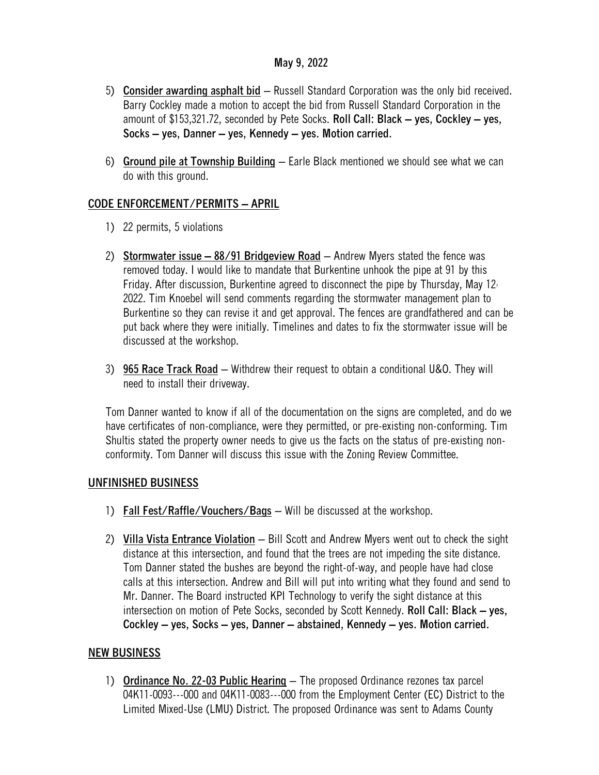#### **May 9, 2022**

- 5) **Consider awarding asphalt bid** Russell Standard Corporation was the only bid received. Barry Cockley made a motion to accept the bid from Russell Standard Corporation in the amount of \$153,321.72, seconded by Pete Socks. **Roll Call: Black – yes, Cockley – yes, Socks – yes, Danner – yes, Kennedy – yes. Motion carried.**
- 6) **Ground pile at Township Building** Earle Black mentioned we should see what we can do with this ground.

## **CODE ENFORCEMENT/PERMITS – APRIL**

- 1) 22 permits, 5 violations
- 2) **Stormwater issue – 88/91 Bridgeview Road** Andrew Myers stated the fence was removed today. I would like to mandate that Burkentine unhook the pipe at 91 by this Friday. After discussion, Burkentine agreed to disconnect the pipe by Thursday, May 12, 2022. Tim Knoebel will send comments regarding the stormwater management plan to Burkentine so they can revise it and get approval. The fences are grandfathered and can be put back where they were initially. Timelines and dates to fix the stormwater issue will be discussed at the workshop.
- 3) **965 Race Track Road** Withdrew their request to obtain a conditional U&O. They will need to install their driveway.

Tom Danner wanted to know if all of the documentation on the signs are completed, and do we have certificates of non-compliance, were they permitted, or pre-existing non-conforming. Tim Shultis stated the property owner needs to give us the facts on the status of pre-existing nonconformity. Tom Danner will discuss this issue with the Zoning Review Committee.

#### **UNFINISHED BUSINESS**

- 1) **Fall Fest/Raffle/Vouchers/Bags** Will be discussed at the workshop.
- 2) **Villa Vista Entrance Violation** Bill Scott and Andrew Myers went out to check the sight distance at this intersection, and found that the trees are not impeding the site distance. Tom Danner stated the bushes are beyond the right-of-way, and people have had close calls at this intersection. Andrew and Bill will put into writing what they found and send to Mr. Danner. The Board instructed KPI Technology to verify the sight distance at this intersection on motion of Pete Socks, seconded by Scott Kennedy. **Roll Call: Black – yes, Cockley – yes, Socks – yes, Danner – abstained, Kennedy – yes. Motion carried.**

## **NEW BUSINESS**

1) **Ordinance No. 22-03 Public Hearing** – The proposed Ordinance rezones tax parcel 04K11-0093---000 and 04K11-0083---000 from the Employment Center (EC) District to the Limited Mixed-Use (LMU) District. The proposed Ordinance was sent to Adams County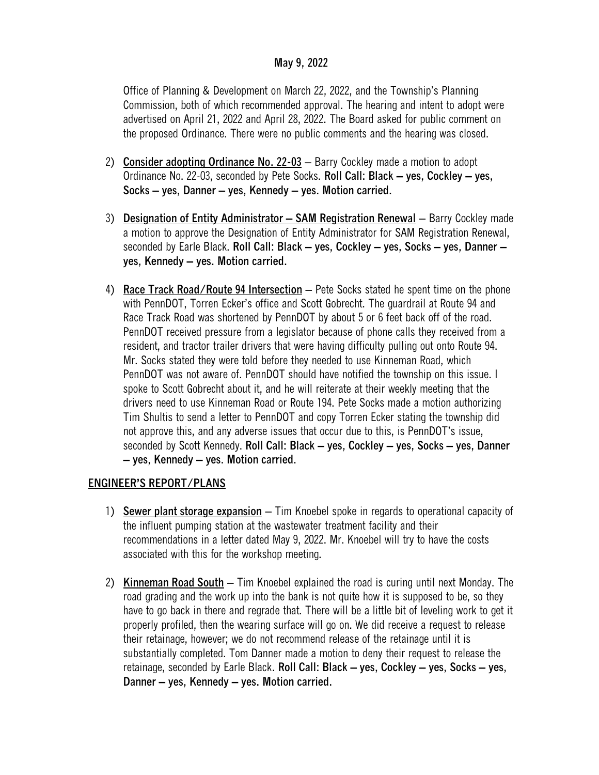#### **May 9, 2022**

Office of Planning & Development on March 22, 2022, and the Township's Planning Commission, both of which recommended approval. The hearing and intent to adopt were advertised on April 21, 2022 and April 28, 2022. The Board asked for public comment on the proposed Ordinance. There were no public comments and the hearing was closed.

- 2) **Consider adopting Ordinance No. 22-03** Barry Cockley made a motion to adopt Ordinance No. 22-03, seconded by Pete Socks. **Roll Call: Black – yes, Cockley – yes, Socks – yes, Danner – yes, Kennedy – yes. Motion carried.**
- 3) **Designation of Entity Administrator – SAM Registration Renewal** Barry Cockley made a motion to approve the Designation of Entity Administrator for SAM Registration Renewal, seconded by Earle Black. **Roll Call: Black – yes, Cockley – yes, Socks – yes, Danner – yes, Kennedy – yes. Motion carried.**
- 4) **Race Track Road/Route 94 Intersection** Pete Socks stated he spent time on the phone with PennDOT, Torren Ecker's office and Scott Gobrecht. The guardrail at Route 94 and Race Track Road was shortened by PennDOT by about 5 or 6 feet back off of the road. PennDOT received pressure from a legislator because of phone calls they received from a resident, and tractor trailer drivers that were having difficulty pulling out onto Route 94. Mr. Socks stated they were told before they needed to use Kinneman Road, which PennDOT was not aware of. PennDOT should have notified the township on this issue. I spoke to Scott Gobrecht about it, and he will reiterate at their weekly meeting that the drivers need to use Kinneman Road or Route 194. Pete Socks made a motion authorizing Tim Shultis to send a letter to PennDOT and copy Torren Ecker stating the township did not approve this, and any adverse issues that occur due to this, is PennDOT's issue, seconded by Scott Kennedy. **Roll Call: Black – yes, Cockley – yes, Socks – yes, Danner – yes, Kennedy – yes. Motion carried.**

## **ENGINEER'S REPORT/PLANS**

- 1) **Sewer plant storage expansion** Tim Knoebel spoke in regards to operational capacity of the influent pumping station at the wastewater treatment facility and their recommendations in a letter dated May 9, 2022. Mr. Knoebel will try to have the costs associated with this for the workshop meeting.
- 2) **Kinneman Road South** Tim Knoebel explained the road is curing until next Monday. The road grading and the work up into the bank is not quite how it is supposed to be, so they have to go back in there and regrade that. There will be a little bit of leveling work to get it properly profiled, then the wearing surface will go on. We did receive a request to release their retainage, however; we do not recommend release of the retainage until it is substantially completed. Tom Danner made a motion to deny their request to release the retainage, seconded by Earle Black**. Roll Call: Black – yes, Cockley – yes, Socks – yes, Danner – yes, Kennedy – yes. Motion carried.**